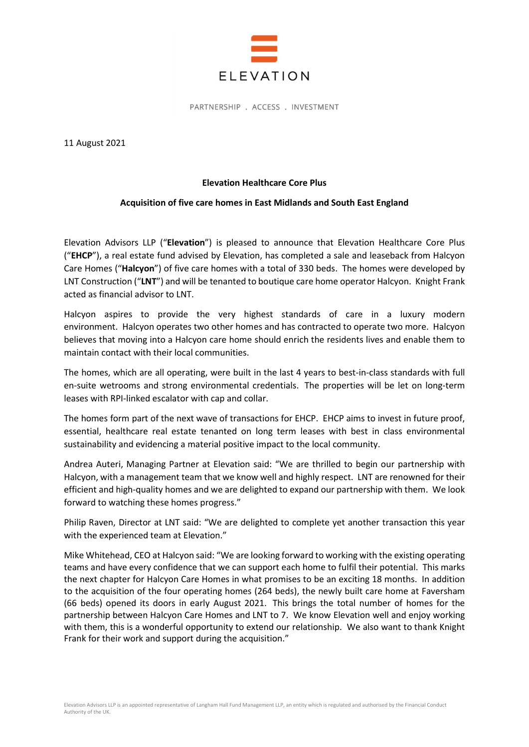

PARTNERSHIP . ACCESS . INVESTMENT

11 August 2021

## Elevation Healthcare Core Plus

## Acquisition of five care homes in East Midlands and South East England

Elevation Advisors LLP ("Elevation") is pleased to announce that Elevation Healthcare Core Plus ("EHCP"), a real estate fund advised by Elevation, has completed a sale and leaseback from Halcyon Care Homes ("Halcyon") of five care homes with a total of 330 beds. The homes were developed by LNT Construction ("LNT") and will be tenanted to boutique care home operator Halcyon. Knight Frank acted as financial advisor to LNT.

Halcyon aspires to provide the very highest standards of care in a luxury modern environment. Halcyon operates two other homes and has contracted to operate two more. Halcyon believes that moving into a Halcyon care home should enrich the residents lives and enable them to maintain contact with their local communities.

The homes, which are all operating, were built in the last 4 years to best-in-class standards with full en-suite wetrooms and strong environmental credentials. The properties will be let on long-term leases with RPI-linked escalator with cap and collar.

The homes form part of the next wave of transactions for EHCP. EHCP aims to invest in future proof, essential, healthcare real estate tenanted on long term leases with best in class environmental sustainability and evidencing a material positive impact to the local community.

Andrea Auteri, Managing Partner at Elevation said: "We are thrilled to begin our partnership with Halcyon, with a management team that we know well and highly respect. LNT are renowned for their efficient and high-quality homes and we are delighted to expand our partnership with them. We look forward to watching these homes progress."

Philip Raven, Director at LNT said: "We are delighted to complete yet another transaction this year with the experienced team at Elevation."

Mike Whitehead, CEO at Halcyon said: "We are looking forward to working with the existing operating teams and have every confidence that we can support each home to fulfil their potential. This marks the next chapter for Halcyon Care Homes in what promises to be an exciting 18 months. In addition to the acquisition of the four operating homes (264 beds), the newly built care home at Faversham (66 beds) opened its doors in early August 2021. This brings the total number of homes for the partnership between Halcyon Care Homes and LNT to 7. We know Elevation well and enjoy working with them, this is a wonderful opportunity to extend our relationship. We also want to thank Knight Frank for their work and support during the acquisition."